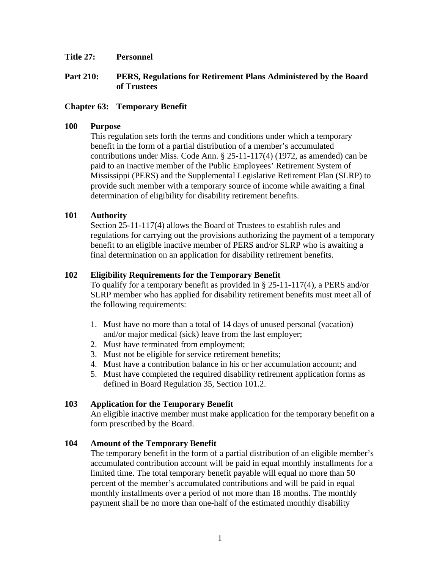#### **Title 27: Personnel**

### **Part 210: PERS, Regulations for Retirement Plans Administered by the Board of Trustees**

### **Chapter 63: Temporary Benefit**

#### **100 Purpose**

This regulation sets forth the terms and conditions under which a temporary benefit in the form of a partial distribution of a member's accumulated contributions under Miss. Code Ann. § 25-11-117(4) (1972, as amended) can be paid to an inactive member of the Public Employees' Retirement System of Mississippi (PERS) and the Supplemental Legislative Retirement Plan (SLRP) to provide such member with a temporary source of income while awaiting a final determination of eligibility for disability retirement benefits.

#### **101 Authority**

Section 25-11-117(4) allows the Board of Trustees to establish rules and regulations for carrying out the provisions authorizing the payment of a temporary benefit to an eligible inactive member of PERS and/or SLRP who is awaiting a final determination on an application for disability retirement benefits.

#### **102 Eligibility Requirements for the Temporary Benefit**

To qualify for a temporary benefit as provided in § 25-11-117(4), a PERS and/or SLRP member who has applied for disability retirement benefits must meet all of the following requirements:

- 1. Must have no more than a total of 14 days of unused personal (vacation) and/or major medical (sick) leave from the last employer;
- 2. Must have terminated from employment;
- 3. Must not be eligible for service retirement benefits;
- 4. Must have a contribution balance in his or her accumulation account; and
- 5. Must have completed the required disability retirement application forms as defined in Board Regulation 35, Section 101.2.

#### **103 Application for the Temporary Benefit**

An eligible inactive member must make application for the temporary benefit on a form prescribed by the Board.

#### **104 Amount of the Temporary Benefit**

The temporary benefit in the form of a partial distribution of an eligible member's accumulated contribution account will be paid in equal monthly installments for a limited time. The total temporary benefit payable will equal no more than 50 percent of the member's accumulated contributions and will be paid in equal monthly installments over a period of not more than 18 months. The monthly payment shall be no more than one-half of the estimated monthly disability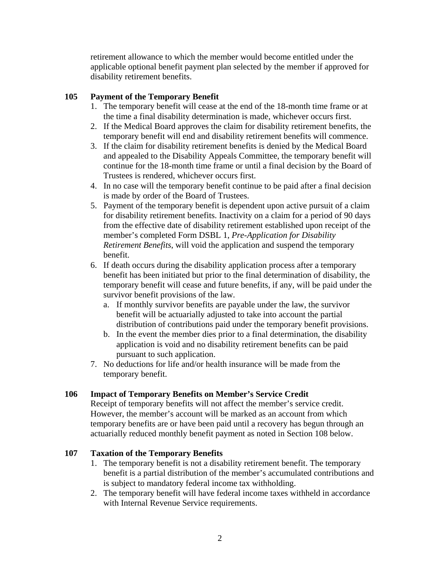retirement allowance to which the member would become entitled under the applicable optional benefit payment plan selected by the member if approved for disability retirement benefits.

# **105 Payment of the Temporary Benefit**

- 1. The temporary benefit will cease at the end of the 18-month time frame or at the time a final disability determination is made, whichever occurs first.
- 2. If the Medical Board approves the claim for disability retirement benefits, the temporary benefit will end and disability retirement benefits will commence.
- 3. If the claim for disability retirement benefits is denied by the Medical Board and appealed to the Disability Appeals Committee, the temporary benefit will continue for the 18-month time frame or until a final decision by the Board of Trustees is rendered, whichever occurs first.
- 4. In no case will the temporary benefit continue to be paid after a final decision is made by order of the Board of Trustees.
- 5. Payment of the temporary benefit is dependent upon active pursuit of a claim for disability retirement benefits. Inactivity on a claim for a period of 90 days from the effective date of disability retirement established upon receipt of the member's completed Form DSBL 1, *Pre-Application for Disability Retirement Benefits*, will void the application and suspend the temporary benefit.
- 6. If death occurs during the disability application process after a temporary benefit has been initiated but prior to the final determination of disability, the temporary benefit will cease and future benefits, if any, will be paid under the survivor benefit provisions of the law.
	- a. If monthly survivor benefits are payable under the law, the survivor benefit will be actuarially adjusted to take into account the partial distribution of contributions paid under the temporary benefit provisions.
	- b. In the event the member dies prior to a final determination, the disability application is void and no disability retirement benefits can be paid pursuant to such application.
- 7. No deductions for life and/or health insurance will be made from the temporary benefit.

## **106 Impact of Temporary Benefits on Member's Service Credit**

Receipt of temporary benefits will not affect the member's service credit. However, the member's account will be marked as an account from which temporary benefits are or have been paid until a recovery has begun through an actuarially reduced monthly benefit payment as noted in Section 108 below.

## **107 Taxation of the Temporary Benefits**

- 1. The temporary benefit is not a disability retirement benefit. The temporary benefit is a partial distribution of the member's accumulated contributions and is subject to mandatory federal income tax withholding.
- 2. The temporary benefit will have federal income taxes withheld in accordance with Internal Revenue Service requirements.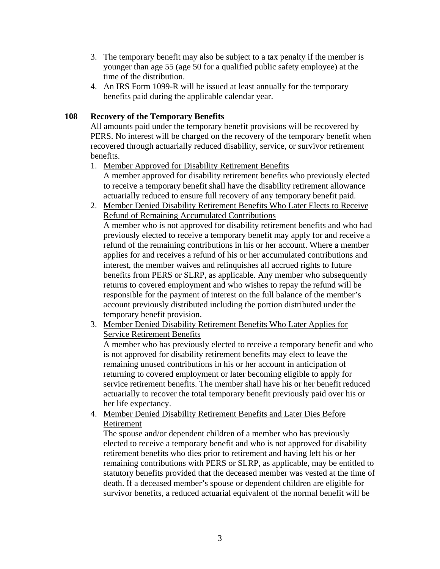- 3. The temporary benefit may also be subject to a tax penalty if the member is younger than age 55 (age 50 for a qualified public safety employee) at the time of the distribution.
- 4. An IRS Form 1099-R will be issued at least annually for the temporary benefits paid during the applicable calendar year.

# **108 Recovery of the Temporary Benefits**

All amounts paid under the temporary benefit provisions will be recovered by PERS. No interest will be charged on the recovery of the temporary benefit when recovered through actuarially reduced disability, service, or survivor retirement benefits.

- 1. Member Approved for Disability Retirement Benefits A member approved for disability retirement benefits who previously elected to receive a temporary benefit shall have the disability retirement allowance actuarially reduced to ensure full recovery of any temporary benefit paid.
- 2. Member Denied Disability Retirement Benefits Who Later Elects to Receive Refund of Remaining Accumulated Contributions A member who is not approved for disability retirement benefits and who had previously elected to receive a temporary benefit may apply for and receive a refund of the remaining contributions in his or her account. Where a member applies for and receives a refund of his or her accumulated contributions and interest, the member waives and relinquishes all accrued rights to future benefits from PERS or SLRP, as applicable. Any member who subsequently returns to covered employment and who wishes to repay the refund will be responsible for the payment of interest on the full balance of the member's account previously distributed including the portion distributed under the temporary benefit provision.
- 3. Member Denied Disability Retirement Benefits Who Later Applies for Service Retirement Benefits

A member who has previously elected to receive a temporary benefit and who is not approved for disability retirement benefits may elect to leave the remaining unused contributions in his or her account in anticipation of returning to covered employment or later becoming eligible to apply for service retirement benefits. The member shall have his or her benefit reduced actuarially to recover the total temporary benefit previously paid over his or her life expectancy.

4. Member Denied Disability Retirement Benefits and Later Dies Before Retirement

The spouse and/or dependent children of a member who has previously elected to receive a temporary benefit and who is not approved for disability retirement benefits who dies prior to retirement and having left his or her remaining contributions with PERS or SLRP, as applicable, may be entitled to statutory benefits provided that the deceased member was vested at the time of death. If a deceased member's spouse or dependent children are eligible for survivor benefits, a reduced actuarial equivalent of the normal benefit will be